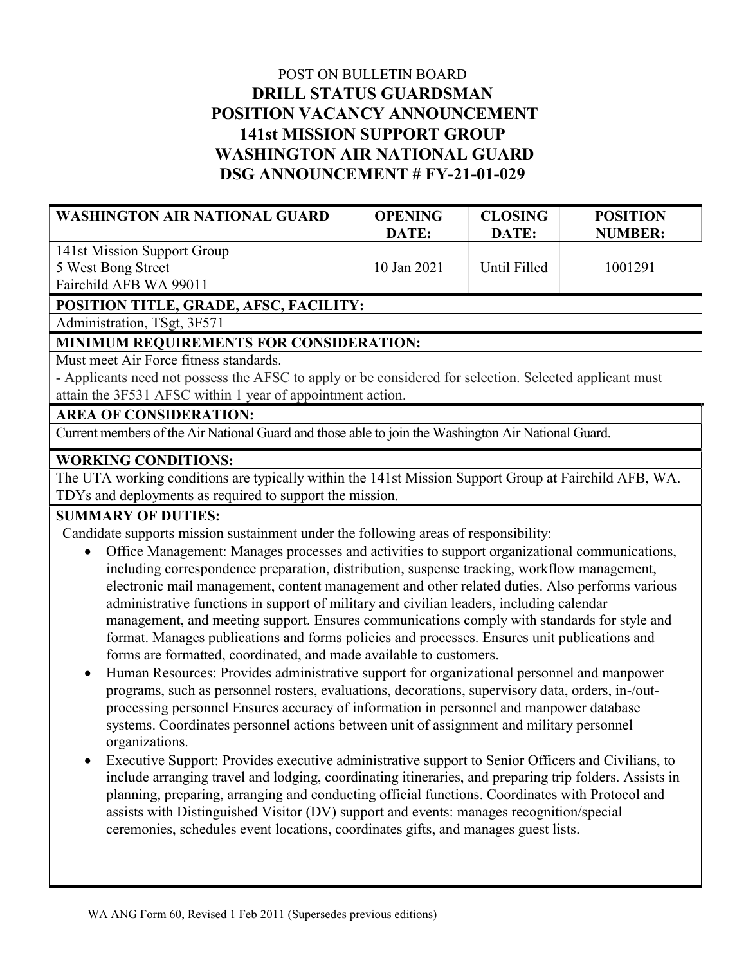# POST ON BULLETIN BOARD DRILL STATUS GUARDSMAN POSITION VACANCY ANNOUNCEMENT 141st MISSION SUPPORT GROUP WASHINGTON AIR NATIONAL GUARD DSG ANNOUNCEMENT # FY-21-01-029

| <b>WASHINGTON AIR NATIONAL GUARD</b>                                                                    | <b>OPENING</b><br>DATE: | <b>CLOSING</b><br>DATE: | <b>POSITION</b><br><b>NUMBER:</b> |  |
|---------------------------------------------------------------------------------------------------------|-------------------------|-------------------------|-----------------------------------|--|
| 141st Mission Support Group                                                                             |                         |                         |                                   |  |
| 5 West Bong Street                                                                                      | 10 Jan 2021             | Until Filled            | 1001291                           |  |
| Fairchild AFB WA 99011                                                                                  |                         |                         |                                   |  |
| POSITION TITLE, GRADE, AFSC, FACILITY:                                                                  |                         |                         |                                   |  |
| Administration, TSgt, 3F571                                                                             |                         |                         |                                   |  |
| MINIMUM REQUIREMENTS FOR CONSIDERATION:                                                                 |                         |                         |                                   |  |
| Must meet Air Force fitness standards.                                                                  |                         |                         |                                   |  |
| - Applicants need not possess the AFSC to apply or be considered for selection. Selected applicant must |                         |                         |                                   |  |
| attain the 3F531 AFSC within 1 year of appointment action.                                              |                         |                         |                                   |  |

#### AREA OF CONSIDERATION:

Current members of the Air National Guard and those able to join the Washington Air National Guard.

#### WORKING CONDITIONS:

The UTA working conditions are typically within the 141st Mission Support Group at Fairchild AFB, WA. TDYs and deployments as required to support the mission.

## SUMMARY OF DUTIES:

Candidate supports mission sustainment under the following areas of responsibility:

- Office Management: Manages processes and activities to support organizational communications, including correspondence preparation, distribution, suspense tracking, workflow management, electronic mail management, content management and other related duties. Also performs various administrative functions in support of military and civilian leaders, including calendar management, and meeting support. Ensures communications comply with standards for style and format. Manages publications and forms policies and processes. Ensures unit publications and forms are formatted, coordinated, and made available to customers.
- Human Resources: Provides administrative support for organizational personnel and manpower programs, such as personnel rosters, evaluations, decorations, supervisory data, orders, in-/outprocessing personnel Ensures accuracy of information in personnel and manpower database systems. Coordinates personnel actions between unit of assignment and military personnel organizations.
- Executive Support: Provides executive administrative support to Senior Officers and Civilians, to include arranging travel and lodging, coordinating itineraries, and preparing trip folders. Assists in planning, preparing, arranging and conducting official functions. Coordinates with Protocol and assists with Distinguished Visitor (DV) support and events: manages recognition/special ceremonies, schedules event locations, coordinates gifts, and manages guest lists.